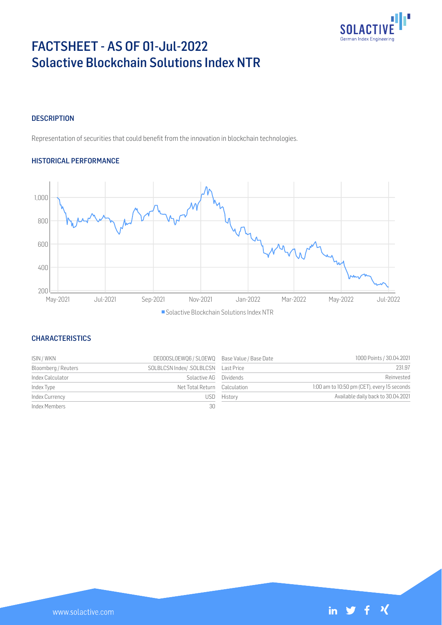

# FACTSHEET - AS OF 01-Jul-2022 Solactive Blockchain Solutions Index NTR

## **DESCRIPTION**

Representation of securities that could benefit from the innovation in blockchain technologies.

## HISTORICAL PERFORMANCE



## **CHARACTERISTICS**

| ISIN / WKN          | DE000SLOEWQ6 / SLOEWQ Base Value / Base Date |           | 1000 Points / 30.04.2021                    |
|---------------------|----------------------------------------------|-----------|---------------------------------------------|
| Bloomberg / Reuters |                                              |           | 231.97                                      |
| Index Calculator    | Solactive AG                                 | Dividends | Reinvested                                  |
| Index Type          | Net Total Return Calculation                 |           | 1:00 am to 10:50 pm (CET), every 15 seconds |
| Index Currency      | USD.                                         | History   | Available daily back to 30.04.2021          |
| Index Members       | 30                                           |           |                                             |

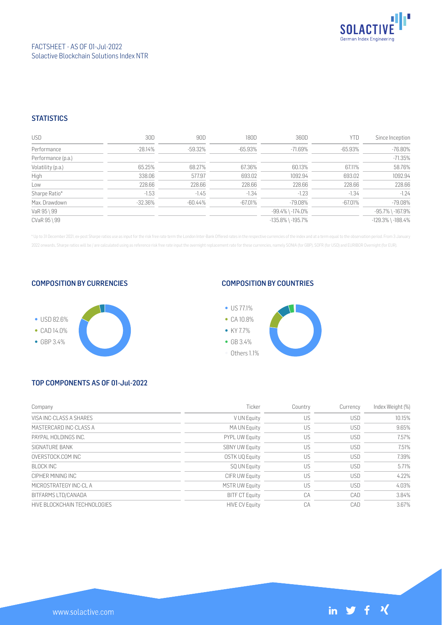

## **STATISTICS**

| USD.               | 30D     | 90D     | 180D       | 360D                    | YTD        | Since Inception         |
|--------------------|---------|---------|------------|-------------------------|------------|-------------------------|
| Performance        | -28.14% | -59.32% | -65.93%    | -71.69%                 | -65.93%    | $-76.80\%$              |
| Performance (p.a.) |         |         |            |                         |            | $-71.35%$               |
| Volatility (p.a.)  | 65.25%  | 68.27%  | 67.36%     | 60.13%                  | 67.11%     | 58.76%                  |
| High               | 338.06  | 577.97  | 693.02     | 1092.94                 | 693.02     | 1092.94                 |
| Low                | 228.66  | 228.66  | 228.66     | 228.66                  | 228.66     | 228.66                  |
| Sharpe Ratio*      | $-1.53$ | $-1.45$ | $-1.34$    | $-1.23$                 | $-1.34$    | $-1.24$                 |
| Max. Drawdown      | -32.36% | -60.44% | $-67.01\%$ | -79.08%                 | $-67.01\%$ | $-79.08%$               |
| VaR 95 \ 99        |         |         |            | $-99.4\%$ \ $-174.0\%$  |            | $-95.7\%$ \ $-167.9\%$  |
| CVaR 95 \ 99       |         |         |            | $-135.8\%$ \ $-195.7\%$ |            | $-129.3\%$ \ $-188.4\%$ |

\* Up to 31 December 2021, ex-post Sharpe ratios use as input for the risk free rate term the London Inter-Bank Offered rates in the respective currencies of the index and at a term equal to the observation period. From 3 J 2022 onwards, Sharpe ratios will be / are calculated using as reference risk free rate input the overnight replacement rate for these currencies, namely SONIA (for GBP), SOFR (for USD) and EURIBOR Overnight (for EUR).

## COMPOSITION BY CURRENCIES



## COMPOSITION BY COUNTRIES



# TOP COMPONENTS AS OF 01-Jul-2022

| Company                      | Ticker                | Country | Currency   | Index Weight (%) |
|------------------------------|-----------------------|---------|------------|------------------|
| VISA INC-CLASS A SHARES      | V UN Equity           | US      | <b>USD</b> | 10.15%           |
| MASTERCARD INC-CLASS A       | MA UN Equity          | US      | <b>USD</b> | 9.65%            |
| PAYPAL HOLDINGS INC.         | <b>PYPL UW Equity</b> | US      | <b>USD</b> | 7.57%            |
| SIGNATURE BANK               | <b>SBNY UW Equity</b> | US      | <b>USD</b> | 7.51%            |
| OVERSTOCK.COM INC            | OSTK UQ Equity        | US      | <b>USD</b> | 7.39%            |
| BI OCK INC                   | SQ UN Equity          | US      | <b>USD</b> | 5.71%            |
| CIPHER MINING INC            | CIFR UW Equity        | US      | <b>USD</b> | 4.22%            |
| MICROSTRATEGY INC-CLA        | <b>MSTR UW Equity</b> | US      | <b>USD</b> | 4.03%            |
| BITFARMS LTD/CANADA          | <b>BITF CT Equity</b> | CA      | CAD        | 3.84%            |
| HIVE BLOCKCHAIN TECHNOLOGIES | <b>HIVE CV Equity</b> | CA      | CAD        | 3.67%            |